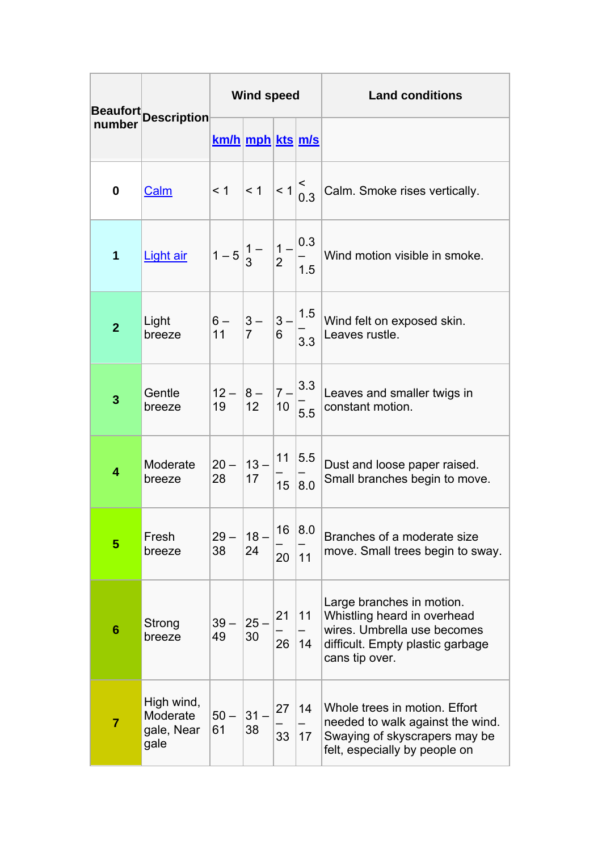| number         | Beaufort Description                         | <b>Wind speed</b>                                                                                                                                         |              |          |           | <b>Land conditions</b>                                                                                                                        |
|----------------|----------------------------------------------|-----------------------------------------------------------------------------------------------------------------------------------------------------------|--------------|----------|-----------|-----------------------------------------------------------------------------------------------------------------------------------------------|
|                |                                              | <u>km/h mph kts m/s</u>                                                                                                                                   |              |          |           |                                                                                                                                               |
| 0              | Calm                                         |                                                                                                                                                           |              |          |           | <1 <1 <1 < $ 1 $ < 1 $ 3 $ < 1 $ 6.3 $ Calm. Smoke rises vertically.                                                                          |
| $\mathbf 1$    | Light air                                    | $\left 1-5\right \begin{matrix}1-\\3\end{matrix}\right \left \begin{matrix}1-\\2\\1\end{matrix}\right \left \begin{matrix}0.3\\-\\1.5\end{matrix}\right $ |              |          |           | Wind motion visible in smoke.                                                                                                                 |
| $\overline{2}$ | Light<br>breeze                              |                                                                                                                                                           |              |          |           | $\begin{vmatrix} 6 & 3 & 3- \ 11 & 7 & 6 \end{vmatrix}$ 3 - $\begin{vmatrix} 1.5 \ -3.3 \end{vmatrix}$ Wind felt on exposed skin.             |
| 3              | Gentle<br>breeze                             | $\begin{vmatrix} 12 - 8 - 7 - 3.3 \\ 19 - 12 - 10 - 5.5 \end{vmatrix}$                                                                                    |              |          |           | Leaves and smaller twigs in<br>constant motion.                                                                                               |
| 4              | Moderate<br>breeze                           | $\begin{vmatrix} 20 - 13 - 11 & 5.5 \\ 28 & 17 & - \end{vmatrix}$                                                                                         |              |          | 15 8.0    | Dust and loose paper raised.<br>Small branches begin to move.                                                                                 |
| 5              | Fresh<br>breeze                              | $29 -$<br>38                                                                                                                                              | $18 -$<br>24 | 16<br>20 | 8.0<br>11 | Branches of a moderate size<br>move. Small trees begin to sway.                                                                               |
| 6              | Strong<br>breeze                             | $39 -$<br>49                                                                                                                                              | $25 -$<br>30 | 21<br>26 | 11<br>14  | Large branches in motion.<br>Whistling heard in overhead<br>wires. Umbrella use becomes<br>difficult. Empty plastic garbage<br>cans tip over. |
| $\overline{7}$ | High wind,<br>Moderate<br>gale, Near<br>gale | $50 -$<br>61                                                                                                                                              | 31<br>38     | 27<br>33 | 14<br>17  | Whole trees in motion. Effort<br>needed to walk against the wind.<br>Swaying of skyscrapers may be<br>felt, especially by people on           |